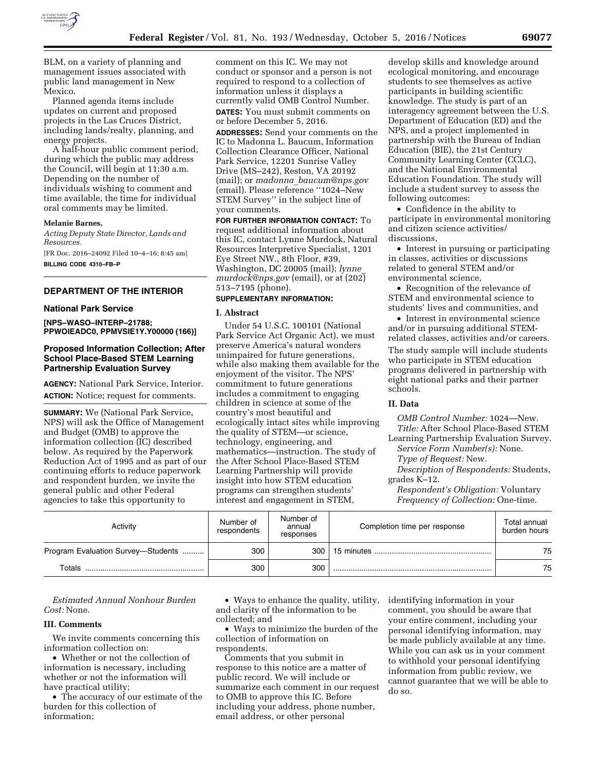

BLM, on a variety of planning and management issues associated with public land management in New Mexico.

Planned agenda items include updates on current and proposed projects in the Las Cruces District, including lands/realty, planning, and energy projects.

A half-hour public comment period, during which the public may address the Council, will begin at 11:30 a.m. Depending on the number of individuals wishing to comment and time available, the time for individual oral comments may be limited.

#### **Melanie Barnes,**

*Acting Deputy State Director, Lands and Resources.* 

[FR Doc. 2016–24092 Filed 10–4–16; 8:45 am] **BILLING CODE 4310–FB–P** 

# **DEPARTMENT OF THE INTERIOR**

#### **National Park Service**

**[NPS–WASO–INTERP–21788; PPWOIEADC0, PPMVSIE1Y.Y00000 (166)]** 

# **Proposed Information Collection; After School Place-Based STEM Learning Partnership Evaluation Survey**

**AGENCY:** National Park Service, Interior. **ACTION:** Notice; request for comments.

**SUMMARY:** We (National Park Service, NPS) will ask the Office of Management and Budget (OMB) to approve the information collection (IC) described below. As required by the Paperwork Reduction Act of 1995 and as part of our continuing efforts to reduce paperwork and respondent burden, we invite the general public and other Federal agencies to take this opportunity to

comment on this IC. We may not conduct or sponsor and a person is not required to respond to a collection of information unless it displays a currently valid OMB Control Number. **DATES:** You must submit comments on or before December 5, 2016.

**ADDRESSES:** Send your comments on the IC to Madonna L. Baucum, Information Collection Clearance Officer, National Park Service, 12201 Sunrise Valley Drive (MS–242), Reston, VA 20192 (mail); or *madonna*\_*[baucum@nps.gov](mailto:madonna_baucum@nps.gov)*  (email). Please reference ''1024–New STEM Survey'' in the subject line of your comments.

**FOR FURTHER INFORMATION CONTACT:** To request additional information about this IC, contact Lynne Murdock, Natural Resources Interpretive Specialist, 1201 Eye Street NW., 8th Floor, #39, Washington, DC 20005 (mail); *[lynne](mailto:lynne_murdock@nps.gov)*\_ *[murdock@nps.gov](mailto:lynne_murdock@nps.gov)* (email), or at (202) 513–7195 (phone).

# **SUPPLEMENTARY INFORMATION:**

## **I. Abstract**

Under 54 U.S.C. 100101 (National Park Service Act Organic Act), we must preserve America's natural wonders unimpaired for future generations, while also making them available for the enjoyment of the visitor. The NPS' commitment to future generations includes a commitment to engaging children in science at some of the country's most beautiful and ecologically intact sites while improving the quality of STEM—or science, technology, engineering, and mathematics—instruction. The study of the After School Place-Based STEM Learning Partnership will provide insight into how STEM education programs can strengthen students' interest and engagement in STEM,

develop skills and knowledge around ecological monitoring, and encourage students to see themselves as active participants in building scientific knowledge. The study is part of an interagency agreement between the U.S. Department of Education (ED) and the NPS, and a project implemented in partnership with the Bureau of Indian Education (BIE), the 21st Century Community Learning Center (CCLC), and the National Environmental Education Foundation. The study will include a student survey to assess the following outcomes:

• Confidence in the ability to participate in environmental monitoring and citizen science activities/ discussions,

• Interest in pursuing or participating in classes, activities or discussions related to general STEM and/or environmental science,

• Recognition of the relevance of STEM and environmental science to students' lives and communities, and

• Interest in environmental science and/or in pursuing additional STEMrelated classes, activities and/or careers.

The study sample will include students who participate in STEM education programs delivered in partnership with eight national parks and their partner schools.

## **II. Data**

*OMB Control Number:* 1024—New. *Title:* After School Place-Based STEM Learning Partnership Evaluation Survey.

*Service Form Number(s):* None.

*Type of Request:* New.

*Description of Respondents:* Students, grades K–12.

*Respondent's Obligation:* Voluntary *Frequency of Collection:* One-time.

| Activity                           | Number of<br>respondents | Number of<br>annual<br>responses | Completion time per response | Total annual<br>burden hours |
|------------------------------------|--------------------------|----------------------------------|------------------------------|------------------------------|
| Program Evaluation Survey-Students | 300                      | 300                              |                              | 75                           |
| Totals                             | 300                      | 300                              |                              | 75                           |

*Estimated Annual Nonhour Burden Cost:* None.

## **III. Comments**

We invite comments concerning this information collection on:

• Whether or not the collection of information is necessary, including whether or not the information will have practical utility;

• The accuracy of our estimate of the burden for this collection of information;

• Ways to enhance the quality, utility, and clarity of the information to be collected; and

• Ways to minimize the burden of the collection of information on respondents.

Comments that you submit in response to this notice are a matter of public record. We will include or summarize each comment in our request to OMB to approve this IC. Before including your address, phone number, email address, or other personal

identifying information in your comment, you should be aware that your entire comment, including your personal identifying information, may be made publicly available at any time. While you can ask us in your comment to withhold your personal identifying information from public review, we cannot guarantee that we will be able to do so.